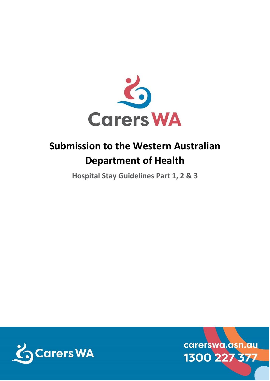

# **Submission to the Western Australian Department of Health**

**Hospital Stay Guidelines Part 1, 2 & 3**



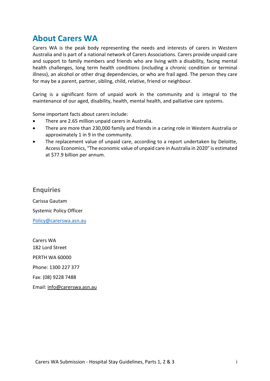### **About Carers WA**

Carers WA is the peak body representing the needs and interests of carers in Western Australia and is part of a national network of Carers Associations. Carers provide unpaid care and support to family members and friends who are living with a disability, facing mental health challenges, long term health conditions (including a chronic condition or terminal illness), an alcohol or other drug dependencies, or who are frail aged. The person they care for may be a parent, partner, sibling, child, relative, friend or neighbour.

Caring is a significant form of unpaid work in the community and is integral to the maintenance of our aged, disability, health, mental health, and palliative care systems.

Some important facts about carers include:

- There are 2.65 million unpaid carers in Australia.
- There are more than 230,000 family and friends in a caring role in Western Australia or approximately 1 in 9 in the community.
- The replacement value of unpaid care, according to a report undertaken by Deloitte, Access Economics, "The economic value of unpaid care in Australia in 2020" is estimated at \$77.9 billion per annum.

**Enquiries** Carissa Gautam Systemic Policy Officer [Policy@carerswa.asn.au](mailto:Policy@carerswa.asn.au)

Carers WA 182 Lord Street PERTH WA 60000 Phone: 1300 227 377 Fax: (08) 9228 7488 Email: [info@carerswa.asn.au](mailto:info@carerswa.asn.au)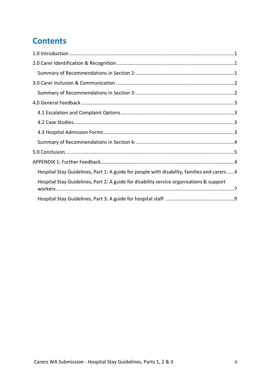## **Contents**

| Hospital Stay Guidelines, Part 1: A guide for people with disability, families and carers 4 |
|---------------------------------------------------------------------------------------------|
| Hospital Stay Guidelines, Part 2: A guide for disability service organisations & support    |
|                                                                                             |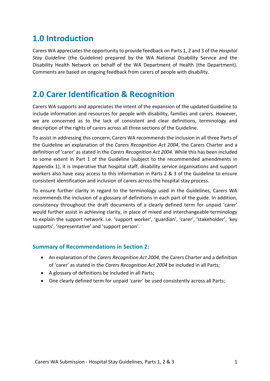### <span id="page-3-0"></span>**1.0 Introduction**

Carers WA appreciates the opportunity to provide feedback on Parts 1, 2 and 3 of the *Hospital Stay Guideline* (the Guideline) prepared by the WA National Disability Service and the Disability Health Network on behalf of the WA Department of Health (the Department). Comments are based on ongoing feedback from carers of people with disability.

### <span id="page-3-1"></span>**2.0 Carer Identification & Recognition**

Carers WA supports and appreciates the intent of the expansion of the updated Guideline to include information and resources for people with disability, families and carers. However, we are concerned as to the lack of consistent and clear definitions, terminology and description of the rights of carers across all three sections of the Guideline.

To assist in addressing this concern, Carers WA recommends the inclusion in all three Parts of the Guideline an explanation of the *Carers Recognition Act 2004*, the Carers Charter and a definition of 'carer' as stated in the *Carers Recognition Act 2004.* While this has been included to some extent in Part 1 of the Guideline (subject to the recommended amendments in Appendix 1), it is imperative that hospital staff, disability service organisations and support workers also have easy access to this information in Parts 2 & 3 of the Guideline to ensure consistent identification and inclusion of carers across the hospital stay process.

To ensure further clarity in regard to the terminology used in the Guidelines, Carers WA recommends the inclusion of a glossary of definitions in each part of the guide. In addition, consistency throughout the draft documents of a clearly defined term for unpaid 'carer' would further assist in achieving clarity, in place of mixed and interchangeable terminology to explain the support network. i.e. 'support worker', 'guardian', 'carer', 'stakeholder', 'key supports', 'representative' and 'support person'.

#### <span id="page-3-2"></span>**Summary of Recommendations in Section 2:**

- An explanation of the *Carers Recognition Act 2004*, the Carers Charter and a definition of 'carer' as stated in the *Carers Recognition Act 2004* be included in all Parts;
- A glossary of definitions be included in all Parts;
- One clearly defined term for unpaid 'carer' be used consistently across all Parts;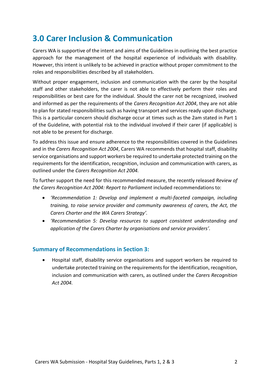### <span id="page-4-0"></span>**3.0 Carer Inclusion & Communication**

Carers WA is supportive of the intent and aims of the Guidelines in outlining the best practice approach for the management of the hospital experience of individuals with disability. However, this intent is unlikely to be achieved in practice without proper commitment to the roles and responsibilities described by all stakeholders.

Without proper engagement, inclusion and communication with the carer by the hospital staff and other stakeholders, the carer is not able to effectively perform their roles and responsibilities or best care for the individual. Should the carer not be recognized, involved and informed as per the requirements of the *Carers Recognition Act 2004*, they are not able to plan for stated responsibilities such as having transport and services ready upon discharge. This is a particular concern should discharge occur at times such as the 2am stated in Part 1 of the Guideline, with potential risk to the individual involved if their carer (if applicable) is not able to be present for discharge.

To address this issue and ensure adherence to the responsibilities covered in the Guidelines and in the *Carers Recognition Act 2004*, Carers WA recommends that hospital staff, disability service organisations and support workers be required to undertake protected training on the requirements for the identification, recognition, inclusion and communication with carers, as outlined under the *Carers Recognition Act 2004.*

To further support the need for this recommended measure, the recently released *Review of the Carers Recognition Act 2004: Report to Parliament* included recommendations to:

- *'Recommendation 1: Develop and implement a multi-faceted campaign, including training, to raise service provider and community awareness of carers, the Act, the Carers Charter and the WA Carers Strategy'.*
- *'Recommendation 5: Develop resources to support consistent understanding and application of the Carers Charter by organisations and service providers'.*

#### <span id="page-4-1"></span>**Summary of Recommendations in Section 3:**

• Hospital staff, disability service organisations and support workers be required to undertake protected training on the requirements for the identification, recognition, inclusion and communication with carers, as outlined under the *Carers Recognition Act 2004.*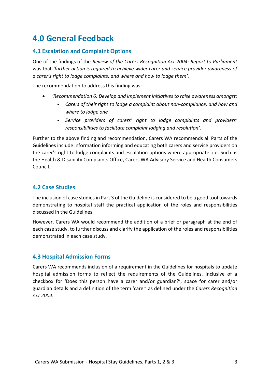### <span id="page-5-0"></span>**4.0 General Feedback**

#### <span id="page-5-1"></span>**4.1 Escalation and Complaint Options**

One of the findings of the *Review of the Carers Recognition Act 2004: Report to Parliament*  was that *'further action is required to achieve wider carer and service provider awareness of a carer's right to lodge complaints, and where and how to lodge them'.*

The recommendation to address this finding was:

- *'Recommendation 6: Develop and implement initiatives to raise awareness amongst:*
	- **-** *Carers of their right to lodge a complaint about non-compliance, and how and where to lodge one*
	- **-** *Service providers of carers' right to lodge complaints and providers' responsibilities to facilitate complaint lodging and resolution'.*

Further to the above finding and recommendation, Carers WA recommends all Parts of the Guidelines include information informing and educating both carers and service providers on the carer's right to lodge complaints and escalation options where appropriate. i.e. Such as the Health & Disability Complaints Office, Carers WA Advisory Service and Health Consumers Council.

#### <span id="page-5-2"></span>**4.2 Case Studies**

The inclusion of case studies in Part 3 of the Guideline is considered to be a good tool towards demonstrating to hospital staff the practical application of the roles and responsibilities discussed in the Guidelines.

However, Carers WA would recommend the addition of a brief or paragraph at the end of each case study, to further discuss and clarify the application of the roles and responsibilities demonstrated in each case study.

#### <span id="page-5-3"></span>**4.3 Hospital Admission Forms**

Carers WA recommends inclusion of a requirement in the Guidelines for hospitals to update hospital admission forms to reflect the requirements of the Guidelines, inclusive of a checkbox for 'Does this person have a carer and/or guardian?', space for carer and/or guardian details and a definition of the term 'carer' as defined under the *Carers Recognition Act 2004.*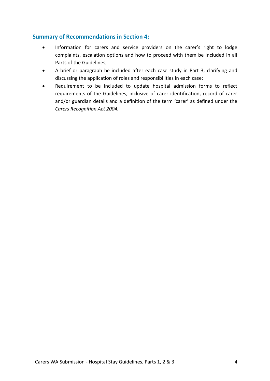#### <span id="page-6-0"></span>**Summary of Recommendations in Section 4:**

- Information for carers and service providers on the carer's right to lodge complaints, escalation options and how to proceed with them be included in all Parts of the Guidelines;
- A brief or paragraph be included after each case study in Part 3, clarifying and discussing the application of roles and responsibilities in each case;
- Requirement to be included to update hospital admission forms to reflect requirements of the Guidelines, inclusive of carer identification, record of carer and/or guardian details and a definition of the term 'carer' as defined under the *Carers Recognition Act 2004.*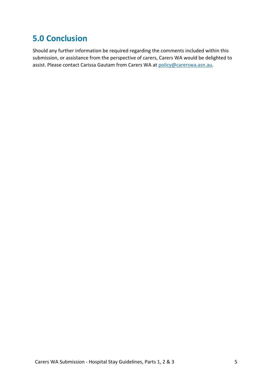### <span id="page-7-0"></span>**5.0 Conclusion**

Should any further information be required regarding the comments included within this submission, or assistance from the perspective of carers, Carers WA would be delighted to assist. Please contact Carissa Gautam from Carers WA at [policy@carerswa.asn.au.](mailto:policy@carerswa.asn.au)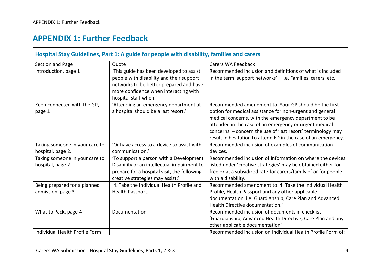### **APPENDIX 1: Further Feedback**

<span id="page-8-1"></span><span id="page-8-0"></span>

| Hospital Stay Guidelines, Part 1: A guide for people with disability, families and carers |                                                                                                                                                                                                   |                                                                                                                                                                                                                                                                                                                                                                        |  |
|-------------------------------------------------------------------------------------------|---------------------------------------------------------------------------------------------------------------------------------------------------------------------------------------------------|------------------------------------------------------------------------------------------------------------------------------------------------------------------------------------------------------------------------------------------------------------------------------------------------------------------------------------------------------------------------|--|
| Section and Page                                                                          | Quote                                                                                                                                                                                             | Carers WA Feedback                                                                                                                                                                                                                                                                                                                                                     |  |
| Introduction, page 1                                                                      | 'This guide has been developed to assist<br>people with disability and their support<br>networks to be better prepared and have<br>more confidence when interacting with<br>hospital staff when:' | Recommended inclusion and definitions of what is included<br>in the term 'support networks' $-$ i.e. Families, carers, etc.                                                                                                                                                                                                                                            |  |
| Keep connected with the GP,<br>page 1                                                     | 'Attending an emergency department at<br>a hospital should be a last resort.'                                                                                                                     | Recommended amendment to 'Your GP should be the first<br>option for medical assistance for non-urgent and general<br>medical concerns, with the emergency department to be<br>attended in the case of an emergency or urgent medical<br>concerns. - concern the use of 'last resort' terminology may<br>result in hesitation to attend ED in the case of an emergency. |  |
| Taking someone in your care to<br>hospital, page 2.                                       | 'Or have access to a device to assist with<br>communication.'                                                                                                                                     | Recommended inclusion of examples of communication<br>devices.                                                                                                                                                                                                                                                                                                         |  |
| Taking someone in your care to<br>hospital, page 2.                                       | 'To support a person with a Development<br>Disability or an intellectual impairment to<br>prepare for a hospital visit, the following<br>creative strategies may assist:'                         | Recommended inclusion of information on where the devices<br>listed under 'creative strategies' may be obtained either for<br>free or at a subsidized rate for carers/family of or for people<br>with a disability.                                                                                                                                                    |  |
| Being prepared for a planned<br>admission, page 3                                         | '4. Take the Individual Health Profile and<br>Health Passport.'                                                                                                                                   | Recommended amendment to '4. Take the Individual Health<br>Profile, Health Passport and any other applicable<br>documentation. i.e. Guardianship, Care Plan and Advanced<br>Health Directive documentation.'                                                                                                                                                           |  |
| What to Pack, page 4                                                                      | Documentation                                                                                                                                                                                     | Recommended inclusion of documents in checklist<br>'Guardianship, Advanced Health Directive, Care Plan and any<br>other applicable documentation'                                                                                                                                                                                                                      |  |
| Individual Health Profile Form                                                            |                                                                                                                                                                                                   | Recommended inclusion on Individual Health Profile Form of:                                                                                                                                                                                                                                                                                                            |  |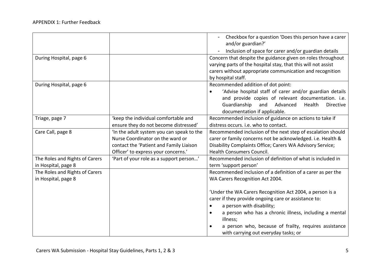|                                |                                          | Checkbox for a question 'Does this person have a carer<br>and/or guardian?'                                                                                                                                    |
|--------------------------------|------------------------------------------|----------------------------------------------------------------------------------------------------------------------------------------------------------------------------------------------------------------|
|                                |                                          | Inclusion of space for carer and/or guardian details                                                                                                                                                           |
| During Hospital, page 6        |                                          | Concern that despite the guidance given on roles throughout<br>varying parts of the hospital stay, that this will not assist<br>carers without appropriate communication and recognition<br>by hospital staff. |
| During Hospital, page 6        |                                          | Recommended addition of dot point:                                                                                                                                                                             |
|                                |                                          | 'Advise hospital staff of carer and/or guardian details<br>and provide copies of relevant documentation. i.e.<br>Guardianship<br>and Advanced<br>Health<br>Directive<br>documentation if applicable.           |
| Triage, page 7                 | 'keep the individual comfortable and     | Recommended inclusion of guidance on actions to take if                                                                                                                                                        |
|                                | ensure they do not become distressed'    | distress occurs. i.e. who to contact.                                                                                                                                                                          |
| Care Call, page 8              | In the adult system you can speak to the | Recommended inclusion of the next step of escalation should                                                                                                                                                    |
|                                | Nurse Coordinator on the ward or         | carer or family concerns not be acknowledged. i.e. Health &                                                                                                                                                    |
|                                | contact the 'Patient and Family Liaison  | Disability Complaints Office; Carers WA Advisory Service;                                                                                                                                                      |
|                                | Officer' to express your concerns.'      | <b>Health Consumers Council.</b>                                                                                                                                                                               |
| The Roles and Rights of Carers | 'Part of your role as a support person'  | Recommended inclusion of definition of what is included in                                                                                                                                                     |
| in Hospital, page 8            |                                          | term 'support person'                                                                                                                                                                                          |
| The Roles and Rights of Carers |                                          | Recommended inclusion of a definition of a carer as per the                                                                                                                                                    |
| in Hospital, page 8            |                                          | WA Carers Recognition Act 2004.                                                                                                                                                                                |
|                                |                                          | 'Under the WA Carers Recognition Act 2004, a person is a<br>carer if they provide ongoing care or assistance to:                                                                                               |
|                                |                                          | a person with disability;<br>$\bullet$                                                                                                                                                                         |
|                                |                                          | a person who has a chronic illness, including a mental<br>illness;                                                                                                                                             |
|                                |                                          | a person who, because of frailty, requires assistance<br>with carrying out everyday tasks; or                                                                                                                  |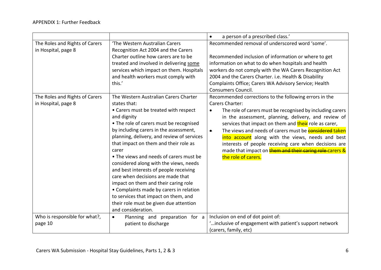|                                                       |                                                                                                                                                                                                                                                                                                                                                                                                                                                                                                                                                                                                                                                                   | a person of a prescribed class.'<br>$\bullet$                                                                                                                                                                                                                                                                                                                                                                                                                                                                                                     |
|-------------------------------------------------------|-------------------------------------------------------------------------------------------------------------------------------------------------------------------------------------------------------------------------------------------------------------------------------------------------------------------------------------------------------------------------------------------------------------------------------------------------------------------------------------------------------------------------------------------------------------------------------------------------------------------------------------------------------------------|---------------------------------------------------------------------------------------------------------------------------------------------------------------------------------------------------------------------------------------------------------------------------------------------------------------------------------------------------------------------------------------------------------------------------------------------------------------------------------------------------------------------------------------------------|
| The Roles and Rights of Carers<br>in Hospital, page 8 | 'The Western Australian Carers<br>Recognition Act 2004 and the Carers<br>Charter outline how carers are to be<br>treated and involved in delivering some<br>services which impact on them. Hospitals<br>and health workers must comply with<br>this.'                                                                                                                                                                                                                                                                                                                                                                                                             | Recommended removal of underscored word 'some'.<br>Recommended inclusion of information or where to get<br>information on what to do when hospitals and health<br>workers do not comply with the WA Carers Recognition Act<br>2004 and the Carers Charter. i.e. Health & Disability<br>Complaints Office; Carers WA Advisory Service; Health<br><b>Consumers Council.</b>                                                                                                                                                                         |
| The Roles and Rights of Carers<br>in Hospital, page 8 | The Western Australian Carers Charter<br>states that:<br>• Carers must be treated with respect<br>and dignity<br>• The role of carers must be recognised<br>by including carers in the assessment,<br>planning, delivery, and review of services<br>that impact on them and their role as<br>carer<br>• The views and needs of carers must be<br>considered along with the views, needs<br>and best interests of people receiving<br>care when decisions are made that<br>impact on them and their caring role<br>• Complaints made by carers in relation<br>to services that impact on them, and<br>their role must be given due attention<br>and consideration. | Recommended corrections to the following errors in the<br>Carers Charter:<br>The role of carers must be recognised by including carers<br>٠<br>in the assessment, planning, delivery, and review of<br>services that impact on them and their role as carer,<br>The views and needs of carers must be <b>considered taken</b><br>$\bullet$<br>into account along with the views, needs and best<br>interests of people receiving care when decisions are<br>made that impact on <b>them and their caring role</b> carers &<br>the role of carers. |
| Who is responsible for what?,<br>page 10              | Planning and preparation for a<br>$\bullet$<br>patient to discharge                                                                                                                                                                                                                                                                                                                                                                                                                                                                                                                                                                                               | Inclusion on end of dot point of:<br>"inclusive of engagement with patient's support network<br>(carers, family, etc)                                                                                                                                                                                                                                                                                                                                                                                                                             |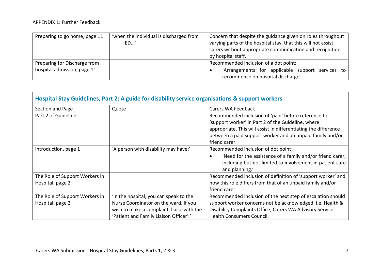| Preparing to go home, page 11 | 'when the individual is discharged from | Concern that despite the guidance given on roles throughout   |
|-------------------------------|-----------------------------------------|---------------------------------------------------------------|
|                               | ED'                                     | varying parts of the hospital stay, that this will not assist |
|                               |                                         | carers without appropriate communication and recognition      |
|                               |                                         | by hospital staff.                                            |
| Preparing for Discharge from  |                                         | Recommended inclusion of a dot point:                         |
| hospital admission, page 11   |                                         | 'Arrangements for applicable support services to              |
|                               |                                         | recommence on hospital discharge'                             |

<span id="page-11-0"></span>

| Hospital Stay Guidelines, Part 2: A guide for disability service organisations & support workers |                                           |                                                                                                                                                                                                                                                            |  |
|--------------------------------------------------------------------------------------------------|-------------------------------------------|------------------------------------------------------------------------------------------------------------------------------------------------------------------------------------------------------------------------------------------------------------|--|
| Section and Page                                                                                 | Quote                                     | Carers WA Feedback                                                                                                                                                                                                                                         |  |
| Part 2 of Guideline                                                                              |                                           | Recommended inclusion of 'paid' before reference to<br>'support worker' in Part 2 of the Guideline, where<br>appropriate. This will assist in differentiating the difference<br>between a paid support worker and an unpaid family and/or<br>friend carer. |  |
| Introduction, page 1                                                                             | 'A person with disability may have:'      | Recommended inclusion of dot point:<br>'Need for the assistance of a family and/or friend carer,<br>including but not limited to involvement in patient care<br>and planning.'                                                                             |  |
| The Role of Support Workers in                                                                   |                                           | Recommended inclusion of definition of 'support worker' and                                                                                                                                                                                                |  |
| Hospital, page 2                                                                                 |                                           | how this role differs from that of an unpaid family and/or<br>friend carer.                                                                                                                                                                                |  |
| The Role of Support Workers in                                                                   | In the hospital, you can speak to the     | Recommended inclusion of the next step of escalation should                                                                                                                                                                                                |  |
| Hospital, page 2                                                                                 | Nurse Coordinator on the ward. If you     | support worker concerns not be acknowledged. i.e. Health &                                                                                                                                                                                                 |  |
|                                                                                                  | wish to make a complaint, liaise with the | Disability Complaints Office; Carers WA Advisory Service;                                                                                                                                                                                                  |  |
|                                                                                                  | 'Patient and Family Liaison Officer'.'    | Health Consumers Council.                                                                                                                                                                                                                                  |  |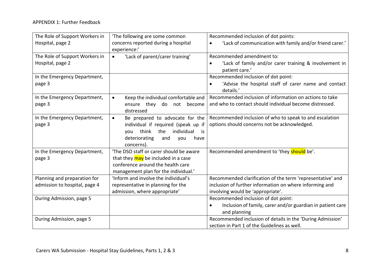| The Role of Support Workers in | 'The following are some common                   | Recommended inclusion of dot points:                                    |
|--------------------------------|--------------------------------------------------|-------------------------------------------------------------------------|
| Hospital, page 2               | concerns reported during a hospital              | 'Lack of communication with family and/or friend carer.'<br>٠           |
|                                | experience:'                                     |                                                                         |
| The Role of Support Workers in | 'Lack of parent/carer training'<br>$\bullet$     | Recommended amendment to:                                               |
| Hospital, page 2               |                                                  | 'Lack of family and/or carer training & involvement in                  |
|                                |                                                  | patient care.'                                                          |
| In the Emergency Department,   |                                                  | Recommended inclusion of dot point:                                     |
| page 3                         |                                                  | 'Advise the hospital staff of carer name and contact<br>$\bullet$       |
|                                |                                                  | details.'                                                               |
| In the Emergency Department,   | Keep the individual comfortable and<br>$\bullet$ | Recommended inclusion of information on actions to take                 |
| page 3                         | ensure they do not<br>become                     | and who to contact should individual become distressed.                 |
|                                | distressed                                       |                                                                         |
| In the Emergency Department,   | Be prepared to advocate for the<br>$\bullet$     | Recommended inclusion of who to speak to and escalation                 |
| page 3                         | individual if required (speak up if              | options should concerns not be acknowledged.                            |
|                                | think<br>the<br>individual<br>you<br>is          |                                                                         |
|                                | deteriorating<br>and<br>have<br>you              |                                                                         |
|                                | concerns).                                       |                                                                         |
| In the Emergency Department,   | 'The DSO staff or carer should be aware          | Recommended amendment to 'they should be'.                              |
| page 3                         | that they may be included in a case              |                                                                         |
|                                | conference around the health care                |                                                                         |
|                                | management plan for the individual.'             |                                                                         |
| Planning and preparation for   | 'Inform and involve the individual's             | Recommended clarification of the term 'representative' and              |
| admission to hospital, page 4  | representative in planning for the               | inclusion of further information on where informing and                 |
|                                | admission, where appropriate'                    | involving would be 'appropriate'.                                       |
| During Admission, page 5       |                                                  | Recommended inclusion of dot point:                                     |
|                                |                                                  | Inclusion of family, carer and/or guardian in patient care<br>$\bullet$ |
|                                |                                                  | and planning                                                            |
| During Admission, page 5       |                                                  | Recommended inclusion of details in the 'During Admission'              |
|                                |                                                  | section in Part 1 of the Guidelines as well.                            |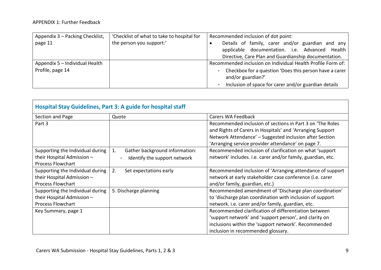| Appendix 3 - Packing Checklist, | 'Checklist of what to take to hospital for | Recommended inclusion of dot point:                                  |
|---------------------------------|--------------------------------------------|----------------------------------------------------------------------|
| page 11                         | the person you support:'                   | Details of family, carer and/or guardian and any                     |
|                                 |                                            | applicable documentation. i.e. Advanced Health                       |
|                                 |                                            | Directive, Care Plan and Guardianship documentation.                 |
| Appendix 5 - Individual Health  |                                            | Recommended inclusion on Individual Health Profile Form of:          |
| Profile, page 14                |                                            | Checkbox for a question 'Does this person have a carer<br>$\sim$ $-$ |
|                                 |                                            | and/or guardian?'                                                    |
|                                 |                                            | Inclusion of space for carer and/or guardian details                 |

<span id="page-13-0"></span>

| Hospital Stay Guidelines, Part 3: A guide for hospital staff |                                      |                                                                                                                                                                                                                                         |  |
|--------------------------------------------------------------|--------------------------------------|-----------------------------------------------------------------------------------------------------------------------------------------------------------------------------------------------------------------------------------------|--|
| Section and Page                                             | Quote                                | Carers WA Feedback                                                                                                                                                                                                                      |  |
| Part 3                                                       |                                      | Recommended inclusion of sections in Part 3 on 'The Roles<br>and Rights of Carers in Hospitals' and 'Arranging Support<br>Network Attendance' - Suggested inclusion after Section<br>'Arranging service provider attendance' on page 7. |  |
| Supporting the Individual during                             | Gather background information:<br>1. | Recommended inclusion of clarification on what 'support                                                                                                                                                                                 |  |
| their Hospital Admission -                                   | Identify the support network         | network' includes. i.e. carer and/or family, guardian, etc.                                                                                                                                                                             |  |
| <b>Process Flowchart</b>                                     |                                      |                                                                                                                                                                                                                                         |  |
| Supporting the Individual during                             | 2.<br>Set expectations early         | Recommended inclusion of 'Arranging attendance of support                                                                                                                                                                               |  |
| their Hospital Admission -                                   |                                      | network at early stakeholder case conference (i.e. carer                                                                                                                                                                                |  |
| <b>Process Flowchart</b>                                     |                                      | and/or family, guardian, etc.)                                                                                                                                                                                                          |  |
| Supporting the Individual during                             | 5. Discharge planning                | Recommended amendment of 'Discharge plan coordination'                                                                                                                                                                                  |  |
| their Hospital Admission -                                   |                                      | to 'discharge plan coordination with inclusion of support                                                                                                                                                                               |  |
| <b>Process Flowchart</b>                                     |                                      | network. i.e. carer and/or family, guardian, etc.                                                                                                                                                                                       |  |
| Key Summary, page 1                                          |                                      | Recommended clarification of differentiation between                                                                                                                                                                                    |  |
|                                                              |                                      | 'support network' and 'support person', and clarity on                                                                                                                                                                                  |  |
|                                                              |                                      | inclusions within the 'support network'. Recommended                                                                                                                                                                                    |  |
|                                                              |                                      | inclusion in recommended glossary.                                                                                                                                                                                                      |  |